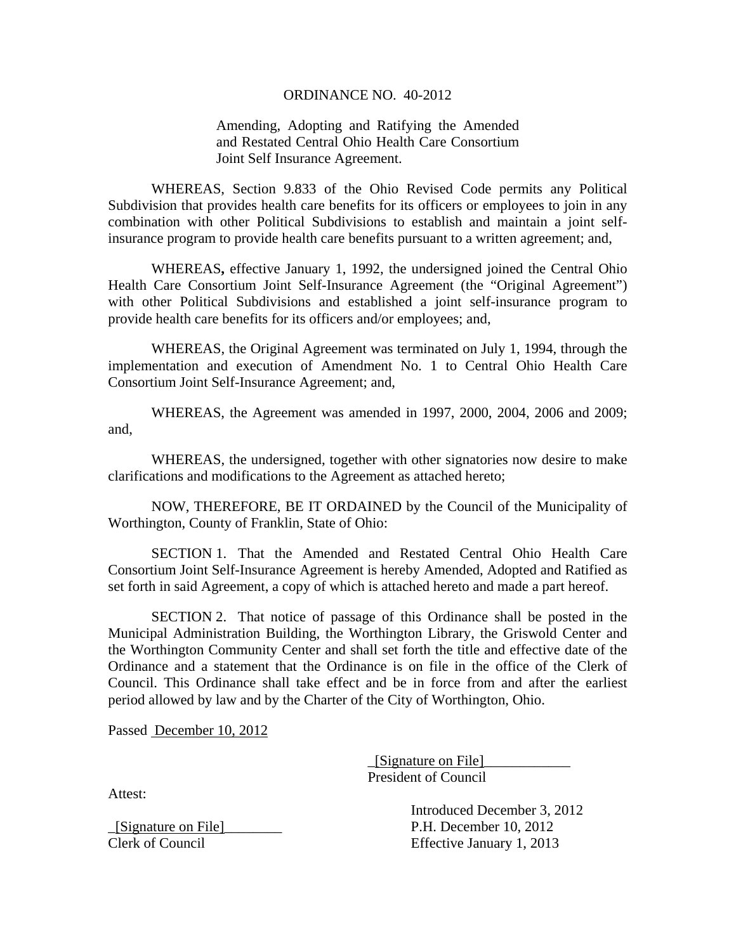#### ORDINANCE NO. 40-2012

## Amending, Adopting and Ratifying the Amended and Restated Central Ohio Health Care Consortium Joint Self Insurance Agreement.

WHEREAS, Section 9.833 of the Ohio Revised Code permits any Political Subdivision that provides health care benefits for its officers or employees to join in any combination with other Political Subdivisions to establish and maintain a joint selfinsurance program to provide health care benefits pursuant to a written agreement; and,

 WHEREAS**,** effective January 1, 1992, the undersigned joined the Central Ohio Health Care Consortium Joint Self-Insurance Agreement (the "Original Agreement") with other Political Subdivisions and established a joint self-insurance program to provide health care benefits for its officers and/or employees; and,

 WHEREAS, the Original Agreement was terminated on July 1, 1994, through the implementation and execution of Amendment No. 1 to Central Ohio Health Care Consortium Joint Self-Insurance Agreement; and,

 WHEREAS, the Agreement was amended in 1997, 2000, 2004, 2006 and 2009; and,

WHEREAS, the undersigned, together with other signatories now desire to make clarifications and modifications to the Agreement as attached hereto;

 NOW, THEREFORE, BE IT ORDAINED by the Council of the Municipality of Worthington, County of Franklin, State of Ohio:

 SECTION 1. That the Amended and Restated Central Ohio Health Care Consortium Joint Self-Insurance Agreement is hereby Amended, Adopted and Ratified as set forth in said Agreement, a copy of which is attached hereto and made a part hereof.

SECTION 2. That notice of passage of this Ordinance shall be posted in the Municipal Administration Building, the Worthington Library, the Griswold Center and the Worthington Community Center and shall set forth the title and effective date of the Ordinance and a statement that the Ordinance is on file in the office of the Clerk of Council. This Ordinance shall take effect and be in force from and after the earliest period allowed by law and by the Charter of the City of Worthington, Ohio.

Passed December 10, 2012

 \_[Signature on File]\_\_\_\_\_\_\_\_\_\_\_\_ President of Council

Attest:

 Introduced December 3, 2012 \_[Signature on File]\_\_\_\_\_\_\_\_ P.H. December 10, 2012 Clerk of Council Effective January 1, 2013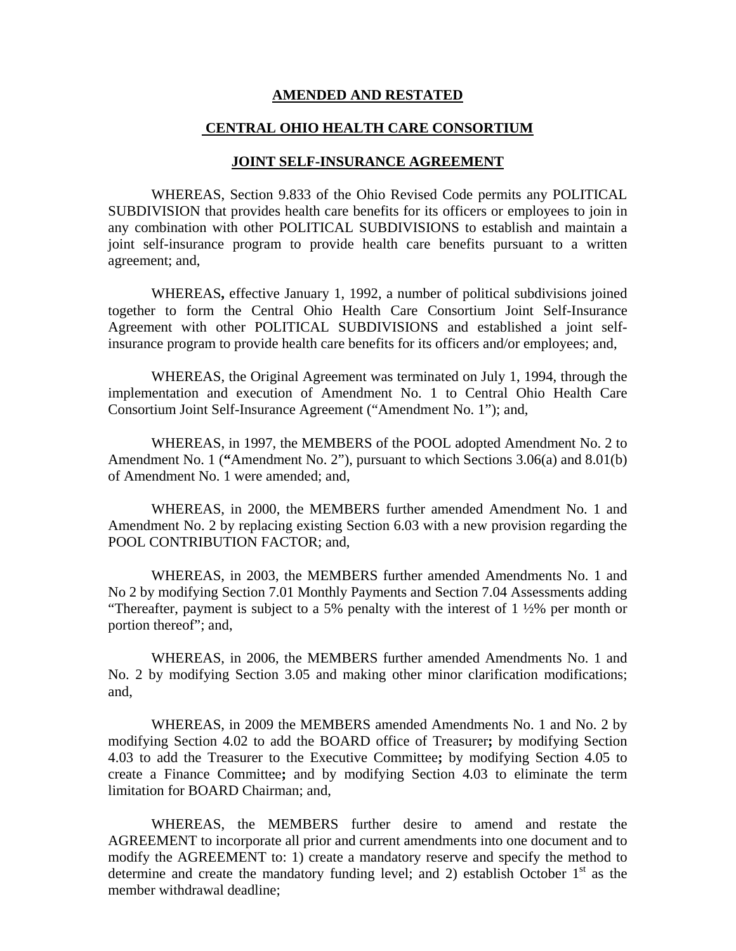#### **AMENDED AND RESTATED**

### **CENTRAL OHIO HEALTH CARE CONSORTIUM**

#### **JOINT SELF-INSURANCE AGREEMENT**

WHEREAS, Section 9.833 of the Ohio Revised Code permits any POLITICAL SUBDIVISION that provides health care benefits for its officers or employees to join in any combination with other POLITICAL SUBDIVISIONS to establish and maintain a joint self-insurance program to provide health care benefits pursuant to a written agreement; and,

 WHEREAS**,** effective January 1, 1992, a number of political subdivisions joined together to form the Central Ohio Health Care Consortium Joint Self-Insurance Agreement with other POLITICAL SUBDIVISIONS and established a joint selfinsurance program to provide health care benefits for its officers and/or employees; and,

 WHEREAS, the Original Agreement was terminated on July 1, 1994, through the implementation and execution of Amendment No. 1 to Central Ohio Health Care Consortium Joint Self-Insurance Agreement ("Amendment No. 1"); and,

 WHEREAS, in 1997, the MEMBERS of the POOL adopted Amendment No. 2 to Amendment No. 1 (**"**Amendment No. 2"), pursuant to which Sections 3.06(a) and 8.01(b) of Amendment No. 1 were amended; and,

 WHEREAS, in 2000, the MEMBERS further amended Amendment No. 1 and Amendment No. 2 by replacing existing Section 6.03 with a new provision regarding the POOL CONTRIBUTION FACTOR; and,

 WHEREAS, in 2003, the MEMBERS further amended Amendments No. 1 and No 2 by modifying Section 7.01 Monthly Payments and Section 7.04 Assessments adding "Thereafter, payment is subject to a 5% penalty with the interest of  $1\frac{1}{2}\%$  per month or portion thereof"; and,

 WHEREAS, in 2006, the MEMBERS further amended Amendments No. 1 and No. 2 by modifying Section 3.05 and making other minor clarification modifications; and,

 WHEREAS, in 2009 the MEMBERS amended Amendments No. 1 and No. 2 by modifying Section 4.02 to add the BOARD office of Treasurer**;** by modifying Section 4.03 to add the Treasurer to the Executive Committee**;** by modifying Section 4.05 to create a Finance Committee**;** and by modifying Section 4.03 to eliminate the term limitation for BOARD Chairman; and,

WHEREAS, the MEMBERS further desire to amend and restate the AGREEMENT to incorporate all prior and current amendments into one document and to modify the AGREEMENT to: 1) create a mandatory reserve and specify the method to determine and create the mandatory funding level; and 2) establish October  $1<sup>st</sup>$  as the member withdrawal deadline;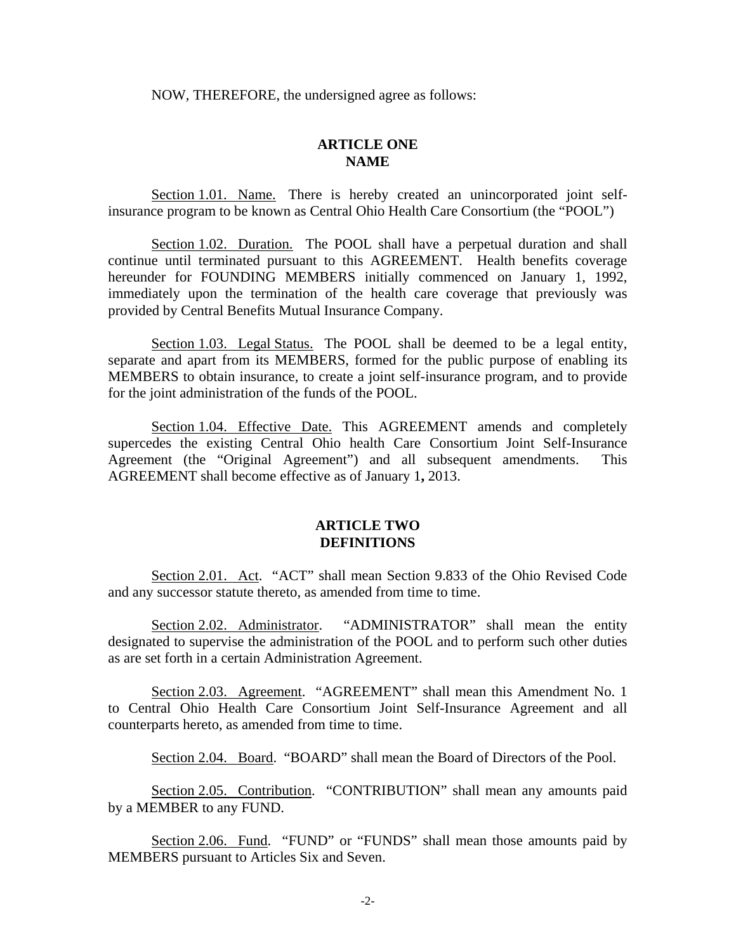NOW, THEREFORE, the undersigned agree as follows:

### **ARTICLE ONE NAME**

 Section 1.01. Name. There is hereby created an unincorporated joint selfinsurance program to be known as Central Ohio Health Care Consortium (the "POOL")

 Section 1.02. Duration. The POOL shall have a perpetual duration and shall continue until terminated pursuant to this AGREEMENT. Health benefits coverage hereunder for FOUNDING MEMBERS initially commenced on January 1, 1992, immediately upon the termination of the health care coverage that previously was provided by Central Benefits Mutual Insurance Company.

 Section 1.03. Legal Status. The POOL shall be deemed to be a legal entity, separate and apart from its MEMBERS, formed for the public purpose of enabling its MEMBERS to obtain insurance, to create a joint self-insurance program, and to provide for the joint administration of the funds of the POOL.

 Section 1.04. Effective Date. This AGREEMENT amends and completely supercedes the existing Central Ohio health Care Consortium Joint Self-Insurance Agreement (the "Original Agreement") and all subsequent amendments. This AGREEMENT shall become effective as of January 1**,** 2013.

### **ARTICLE TWO DEFINITIONS**

 Section 2.01. Act. "ACT" shall mean Section 9.833 of the Ohio Revised Code and any successor statute thereto, as amended from time to time.

Section 2.02. Administrator. "ADMINISTRATOR" shall mean the entity designated to supervise the administration of the POOL and to perform such other duties as are set forth in a certain Administration Agreement.

Section 2.03. Agreement. "AGREEMENT" shall mean this Amendment No. 1 to Central Ohio Health Care Consortium Joint Self-Insurance Agreement and all counterparts hereto, as amended from time to time.

Section 2.04. Board. "BOARD" shall mean the Board of Directors of the Pool.

 Section 2.05. Contribution. "CONTRIBUTION" shall mean any amounts paid by a MEMBER to any FUND.

Section 2.06. Fund. "FUND" or "FUNDS" shall mean those amounts paid by MEMBERS pursuant to Articles Six and Seven.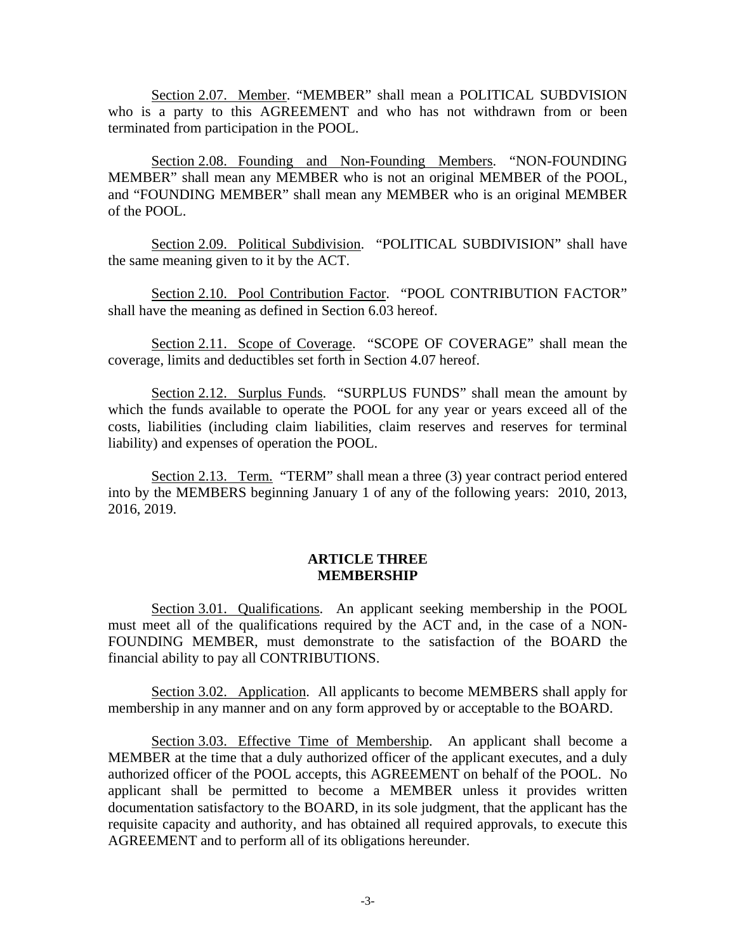Section 2.07. Member. "MEMBER" shall mean a POLITICAL SUBDVISION who is a party to this AGREEMENT and who has not withdrawn from or been terminated from participation in the POOL.

 Section 2.08. Founding and Non-Founding Members. "NON-FOUNDING MEMBER" shall mean any MEMBER who is not an original MEMBER of the POOL, and "FOUNDING MEMBER" shall mean any MEMBER who is an original MEMBER of the POOL.

 Section 2.09. Political Subdivision. "POLITICAL SUBDIVISION" shall have the same meaning given to it by the ACT.

Section 2.10. Pool Contribution Factor. "POOL CONTRIBUTION FACTOR" shall have the meaning as defined in Section 6.03 hereof.

 Section 2.11. Scope of Coverage. "SCOPE OF COVERAGE" shall mean the coverage, limits and deductibles set forth in Section 4.07 hereof.

Section 2.12. Surplus Funds. "SURPLUS FUNDS" shall mean the amount by which the funds available to operate the POOL for any year or years exceed all of the costs, liabilities (including claim liabilities, claim reserves and reserves for terminal liability) and expenses of operation the POOL.

Section 2.13. Term. "TERM" shall mean a three (3) year contract period entered into by the MEMBERS beginning January 1 of any of the following years: 2010, 2013, 2016, 2019.

### **ARTICLE THREE MEMBERSHIP**

 Section 3.01. Qualifications. An applicant seeking membership in the POOL must meet all of the qualifications required by the ACT and, in the case of a NON-FOUNDING MEMBER, must demonstrate to the satisfaction of the BOARD the financial ability to pay all CONTRIBUTIONS.

Section 3.02. Application. All applicants to become MEMBERS shall apply for membership in any manner and on any form approved by or acceptable to the BOARD.

 Section 3.03. Effective Time of Membership. An applicant shall become a MEMBER at the time that a duly authorized officer of the applicant executes, and a duly authorized officer of the POOL accepts, this AGREEMENT on behalf of the POOL. No applicant shall be permitted to become a MEMBER unless it provides written documentation satisfactory to the BOARD, in its sole judgment, that the applicant has the requisite capacity and authority, and has obtained all required approvals, to execute this AGREEMENT and to perform all of its obligations hereunder.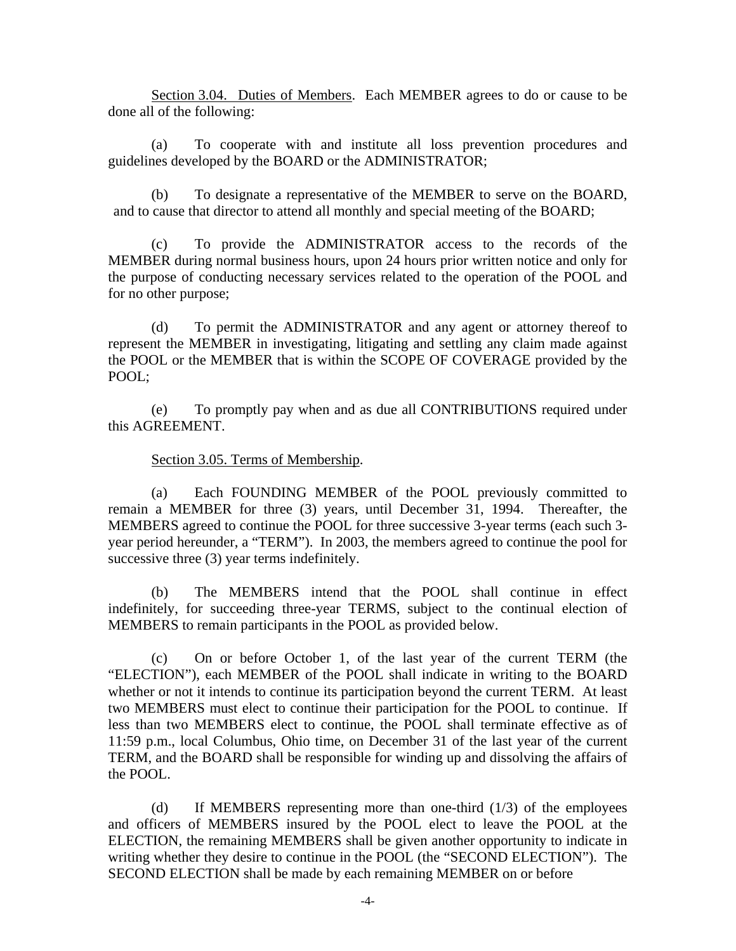Section 3.04. Duties of Members. Each MEMBER agrees to do or cause to be done all of the following:

(a) To cooperate with and institute all loss prevention procedures and guidelines developed by the BOARD or the ADMINISTRATOR;

(b) To designate a representative of the MEMBER to serve on the BOARD, and to cause that director to attend all monthly and special meeting of the BOARD;

(c) To provide the ADMINISTRATOR access to the records of the MEMBER during normal business hours, upon 24 hours prior written notice and only for the purpose of conducting necessary services related to the operation of the POOL and for no other purpose;

(d) To permit the ADMINISTRATOR and any agent or attorney thereof to represent the MEMBER in investigating, litigating and settling any claim made against the POOL or the MEMBER that is within the SCOPE OF COVERAGE provided by the POOL;

(e) To promptly pay when and as due all CONTRIBUTIONS required under this AGREEMENT.

### Section 3.05. Terms of Membership.

(a) Each FOUNDING MEMBER of the POOL previously committed to remain a MEMBER for three (3) years, until December 31, 1994. Thereafter, the MEMBERS agreed to continue the POOL for three successive 3-year terms (each such 3 year period hereunder, a "TERM"). In 2003, the members agreed to continue the pool for successive three (3) year terms indefinitely.

 (b) The MEMBERS intend that the POOL shall continue in effect indefinitely, for succeeding three-year TERMS, subject to the continual election of MEMBERS to remain participants in the POOL as provided below.

 (c) On or before October 1, of the last year of the current TERM (the "ELECTION"), each MEMBER of the POOL shall indicate in writing to the BOARD whether or not it intends to continue its participation beyond the current TERM. At least two MEMBERS must elect to continue their participation for the POOL to continue. If less than two MEMBERS elect to continue, the POOL shall terminate effective as of 11:59 p.m., local Columbus, Ohio time, on December 31 of the last year of the current TERM, and the BOARD shall be responsible for winding up and dissolving the affairs of the POOL.

(d) If MEMBERS representing more than one-third (1/3) of the employees and officers of MEMBERS insured by the POOL elect to leave the POOL at the ELECTION, the remaining MEMBERS shall be given another opportunity to indicate in writing whether they desire to continue in the POOL (the "SECOND ELECTION"). The SECOND ELECTION shall be made by each remaining MEMBER on or before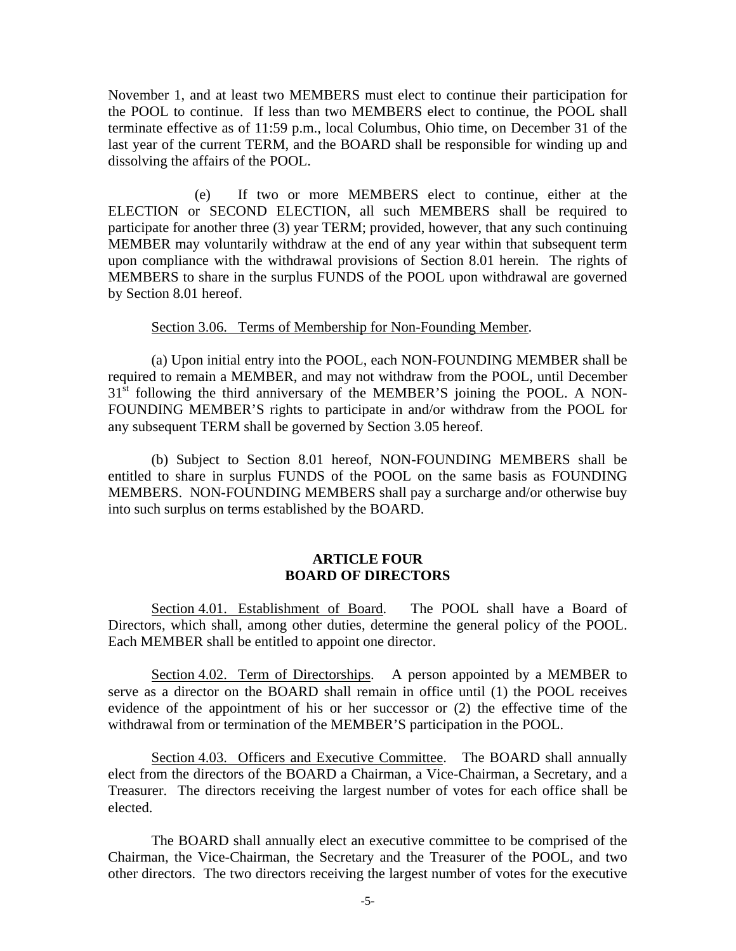November 1, and at least two MEMBERS must elect to continue their participation for the POOL to continue. If less than two MEMBERS elect to continue, the POOL shall terminate effective as of 11:59 p.m., local Columbus, Ohio time, on December 31 of the last year of the current TERM, and the BOARD shall be responsible for winding up and dissolving the affairs of the POOL.

 (e) If two or more MEMBERS elect to continue, either at the ELECTION or SECOND ELECTION, all such MEMBERS shall be required to participate for another three (3) year TERM; provided, however, that any such continuing MEMBER may voluntarily withdraw at the end of any year within that subsequent term upon compliance with the withdrawal provisions of Section 8.01 herein. The rights of MEMBERS to share in the surplus FUNDS of the POOL upon withdrawal are governed by Section 8.01 hereof.

#### Section 3.06. Terms of Membership for Non-Founding Member.

(a) Upon initial entry into the POOL, each NON-FOUNDING MEMBER shall be required to remain a MEMBER, and may not withdraw from the POOL, until December  $31<sup>st</sup>$  following the third anniversary of the MEMBER'S joining the POOL. A NON-FOUNDING MEMBER'S rights to participate in and/or withdraw from the POOL for any subsequent TERM shall be governed by Section 3.05 hereof.

(b) Subject to Section 8.01 hereof, NON-FOUNDING MEMBERS shall be entitled to share in surplus FUNDS of the POOL on the same basis as FOUNDING MEMBERS. NON-FOUNDING MEMBERS shall pay a surcharge and/or otherwise buy into such surplus on terms established by the BOARD.

### **ARTICLE FOUR BOARD OF DIRECTORS**

 Section 4.01. Establishment of Board. The POOL shall have a Board of Directors, which shall, among other duties, determine the general policy of the POOL. Each MEMBER shall be entitled to appoint one director.

 Section 4.02. Term of Directorships. A person appointed by a MEMBER to serve as a director on the BOARD shall remain in office until (1) the POOL receives evidence of the appointment of his or her successor or (2) the effective time of the withdrawal from or termination of the MEMBER'S participation in the POOL.

 Section 4.03. Officers and Executive Committee. The BOARD shall annually elect from the directors of the BOARD a Chairman, a Vice-Chairman, a Secretary, and a Treasurer. The directors receiving the largest number of votes for each office shall be elected.

The BOARD shall annually elect an executive committee to be comprised of the Chairman, the Vice-Chairman, the Secretary and the Treasurer of the POOL, and two other directors. The two directors receiving the largest number of votes for the executive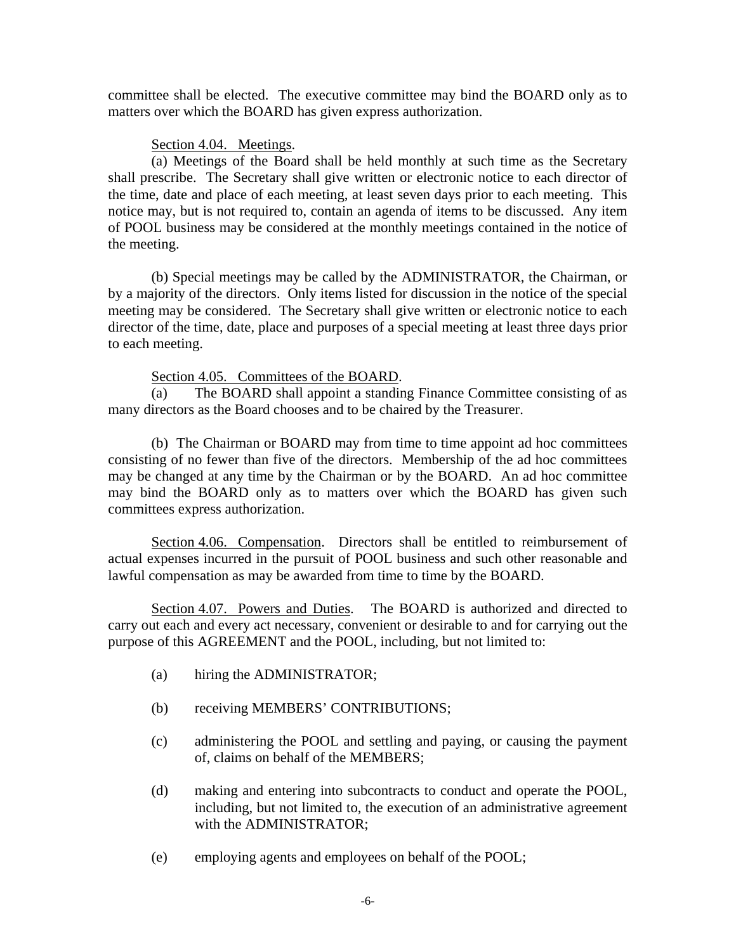committee shall be elected. The executive committee may bind the BOARD only as to matters over which the BOARD has given express authorization.

## Section 4.04. Meetings.

(a) Meetings of the Board shall be held monthly at such time as the Secretary shall prescribe. The Secretary shall give written or electronic notice to each director of the time, date and place of each meeting, at least seven days prior to each meeting. This notice may, but is not required to, contain an agenda of items to be discussed. Any item of POOL business may be considered at the monthly meetings contained in the notice of the meeting.

 (b) Special meetings may be called by the ADMINISTRATOR, the Chairman, or by a majority of the directors. Only items listed for discussion in the notice of the special meeting may be considered. The Secretary shall give written or electronic notice to each director of the time, date, place and purposes of a special meeting at least three days prior to each meeting.

## Section 4.05. Committees of the BOARD.

(a) The BOARD shall appoint a standing Finance Committee consisting of as many directors as the Board chooses and to be chaired by the Treasurer.

(b)The Chairman or BOARD may from time to time appoint ad hoc committees consisting of no fewer than five of the directors. Membership of the ad hoc committees may be changed at any time by the Chairman or by the BOARD. An ad hoc committee may bind the BOARD only as to matters over which the BOARD has given such committees express authorization.

 Section 4.06. Compensation. Directors shall be entitled to reimbursement of actual expenses incurred in the pursuit of POOL business and such other reasonable and lawful compensation as may be awarded from time to time by the BOARD.

Section 4.07. Powers and Duties. The BOARD is authorized and directed to carry out each and every act necessary, convenient or desirable to and for carrying out the purpose of this AGREEMENT and the POOL, including, but not limited to:

- (a) hiring the ADMINISTRATOR;
- (b) receiving MEMBERS' CONTRIBUTIONS;
- (c) administering the POOL and settling and paying, or causing the payment of, claims on behalf of the MEMBERS;
- (d) making and entering into subcontracts to conduct and operate the POOL, including, but not limited to, the execution of an administrative agreement with the ADMINISTRATOR;
- (e) employing agents and employees on behalf of the POOL;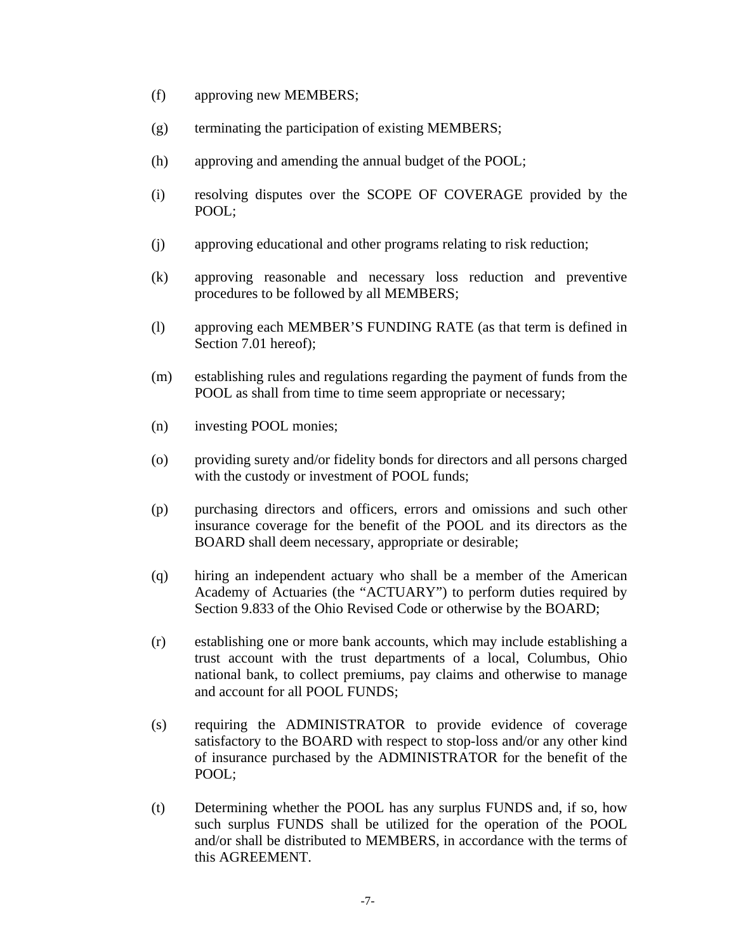- (f) approving new MEMBERS;
- (g) terminating the participation of existing MEMBERS;
- (h) approving and amending the annual budget of the POOL;
- (i) resolving disputes over the SCOPE OF COVERAGE provided by the POOL;
- (j) approving educational and other programs relating to risk reduction;
- (k) approving reasonable and necessary loss reduction and preventive procedures to be followed by all MEMBERS;
- (l) approving each MEMBER'S FUNDING RATE (as that term is defined in Section 7.01 hereof);
- (m) establishing rules and regulations regarding the payment of funds from the POOL as shall from time to time seem appropriate or necessary;
- (n) investing POOL monies;
- (o) providing surety and/or fidelity bonds for directors and all persons charged with the custody or investment of POOL funds;
- (p) purchasing directors and officers, errors and omissions and such other insurance coverage for the benefit of the POOL and its directors as the BOARD shall deem necessary, appropriate or desirable;
- (q) hiring an independent actuary who shall be a member of the American Academy of Actuaries (the "ACTUARY") to perform duties required by Section 9.833 of the Ohio Revised Code or otherwise by the BOARD;
- (r) establishing one or more bank accounts, which may include establishing a trust account with the trust departments of a local, Columbus, Ohio national bank, to collect premiums, pay claims and otherwise to manage and account for all POOL FUNDS;
- (s) requiring the ADMINISTRATOR to provide evidence of coverage satisfactory to the BOARD with respect to stop-loss and/or any other kind of insurance purchased by the ADMINISTRATOR for the benefit of the POOL;
- (t) Determining whether the POOL has any surplus FUNDS and, if so, how such surplus FUNDS shall be utilized for the operation of the POOL and/or shall be distributed to MEMBERS, in accordance with the terms of this AGREEMENT.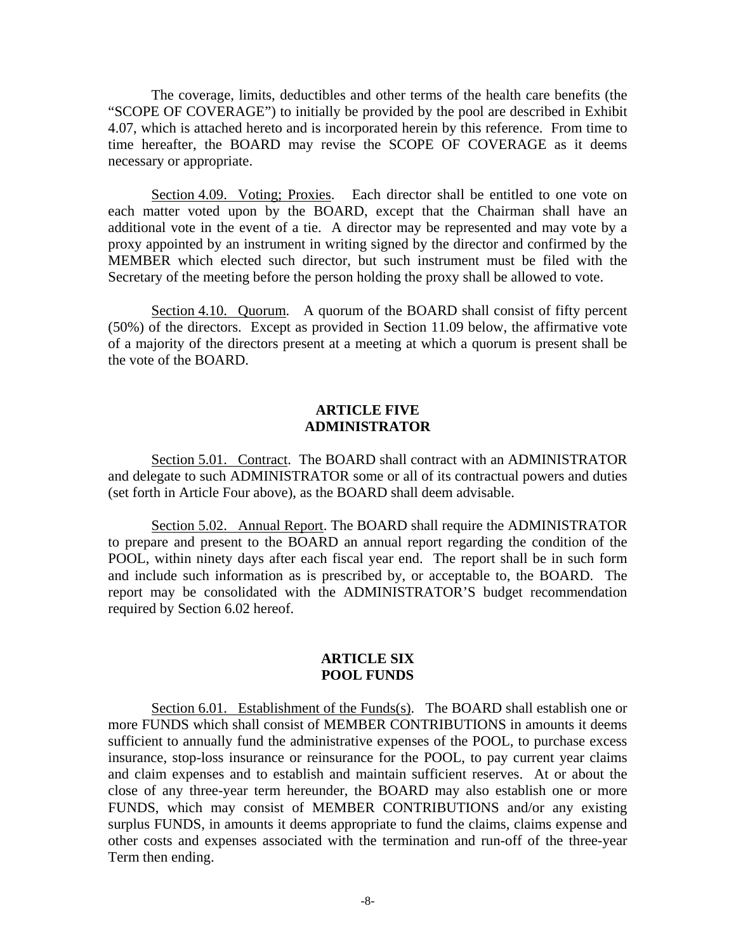The coverage, limits, deductibles and other terms of the health care benefits (the "SCOPE OF COVERAGE") to initially be provided by the pool are described in Exhibit 4.07, which is attached hereto and is incorporated herein by this reference. From time to time hereafter, the BOARD may revise the SCOPE OF COVERAGE as it deems necessary or appropriate.

Section 4.09. Voting; Proxies. Each director shall be entitled to one vote on each matter voted upon by the BOARD, except that the Chairman shall have an additional vote in the event of a tie. A director may be represented and may vote by a proxy appointed by an instrument in writing signed by the director and confirmed by the MEMBER which elected such director, but such instrument must be filed with the Secretary of the meeting before the person holding the proxy shall be allowed to vote.

Section 4.10. Quorum. A quorum of the BOARD shall consist of fifty percent (50%) of the directors. Except as provided in Section 11.09 below, the affirmative vote of a majority of the directors present at a meeting at which a quorum is present shall be the vote of the BOARD.

### **ARTICLE FIVE ADMINISTRATOR**

Section 5.01. Contract. The BOARD shall contract with an ADMINISTRATOR and delegate to such ADMINISTRATOR some or all of its contractual powers and duties (set forth in Article Four above), as the BOARD shall deem advisable.

Section 5.02. Annual Report. The BOARD shall require the ADMINISTRATOR to prepare and present to the BOARD an annual report regarding the condition of the POOL, within ninety days after each fiscal year end. The report shall be in such form and include such information as is prescribed by, or acceptable to, the BOARD. The report may be consolidated with the ADMINISTRATOR'S budget recommendation required by Section 6.02 hereof.

### **ARTICLE SIX POOL FUNDS**

 Section 6.01. Establishment of the Funds(s). The BOARD shall establish one or more FUNDS which shall consist of MEMBER CONTRIBUTIONS in amounts it deems sufficient to annually fund the administrative expenses of the POOL, to purchase excess insurance, stop-loss insurance or reinsurance for the POOL, to pay current year claims and claim expenses and to establish and maintain sufficient reserves. At or about the close of any three-year term hereunder, the BOARD may also establish one or more FUNDS, which may consist of MEMBER CONTRIBUTIONS and/or any existing surplus FUNDS, in amounts it deems appropriate to fund the claims, claims expense and other costs and expenses associated with the termination and run-off of the three-year Term then ending.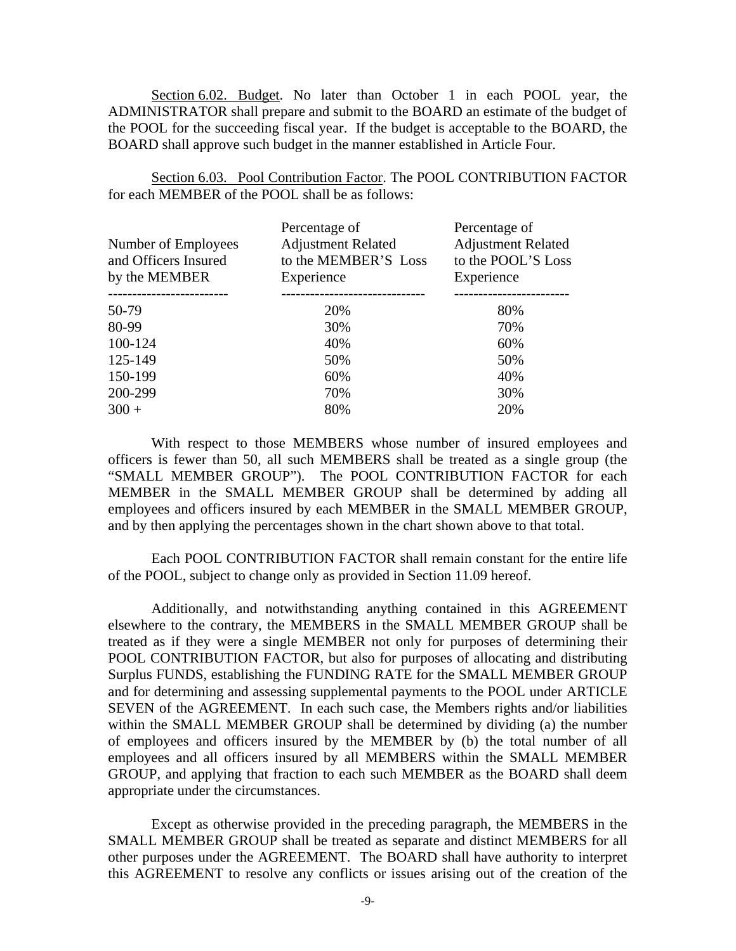Section 6.02. Budget. No later than October 1 in each POOL year, the ADMINISTRATOR shall prepare and submit to the BOARD an estimate of the budget of the POOL for the succeeding fiscal year. If the budget is acceptable to the BOARD, the BOARD shall approve such budget in the manner established in Article Four.

Section 6.03. Pool Contribution Factor. The POOL CONTRIBUTION FACTOR for each MEMBER of the POOL shall be as follows:

| Number of Employees<br>and Officers Insured<br>by the MEMBER | Percentage of<br><b>Adjustment Related</b><br>to the MEMBER'S Loss<br>Experience | Percentage of<br><b>Adjustment Related</b><br>to the POOL'S Loss<br>Experience |
|--------------------------------------------------------------|----------------------------------------------------------------------------------|--------------------------------------------------------------------------------|
| 50-79                                                        | 20%                                                                              | 80%                                                                            |
| 80-99                                                        | 30%                                                                              | 70%                                                                            |
| 100-124                                                      | 40%                                                                              | 60%                                                                            |
| 125-149                                                      | 50%                                                                              | 50%                                                                            |
| 150-199                                                      | 60%                                                                              | 40%                                                                            |
| 200-299                                                      | 70%                                                                              | 30%                                                                            |
| $300 +$                                                      | 80%                                                                              | 20%                                                                            |

 With respect to those MEMBERS whose number of insured employees and officers is fewer than 50, all such MEMBERS shall be treated as a single group (the "SMALL MEMBER GROUP"). The POOL CONTRIBUTION FACTOR for each MEMBER in the SMALL MEMBER GROUP shall be determined by adding all employees and officers insured by each MEMBER in the SMALL MEMBER GROUP, and by then applying the percentages shown in the chart shown above to that total.

 Each POOL CONTRIBUTION FACTOR shall remain constant for the entire life of the POOL, subject to change only as provided in Section 11.09 hereof.

 Additionally, and notwithstanding anything contained in this AGREEMENT elsewhere to the contrary, the MEMBERS in the SMALL MEMBER GROUP shall be treated as if they were a single MEMBER not only for purposes of determining their POOL CONTRIBUTION FACTOR, but also for purposes of allocating and distributing Surplus FUNDS, establishing the FUNDING RATE for the SMALL MEMBER GROUP and for determining and assessing supplemental payments to the POOL under ARTICLE SEVEN of the AGREEMENT. In each such case, the Members rights and/or liabilities within the SMALL MEMBER GROUP shall be determined by dividing (a) the number of employees and officers insured by the MEMBER by (b) the total number of all employees and all officers insured by all MEMBERS within the SMALL MEMBER GROUP, and applying that fraction to each such MEMBER as the BOARD shall deem appropriate under the circumstances.

 Except as otherwise provided in the preceding paragraph, the MEMBERS in the SMALL MEMBER GROUP shall be treated as separate and distinct MEMBERS for all other purposes under the AGREEMENT. The BOARD shall have authority to interpret this AGREEMENT to resolve any conflicts or issues arising out of the creation of the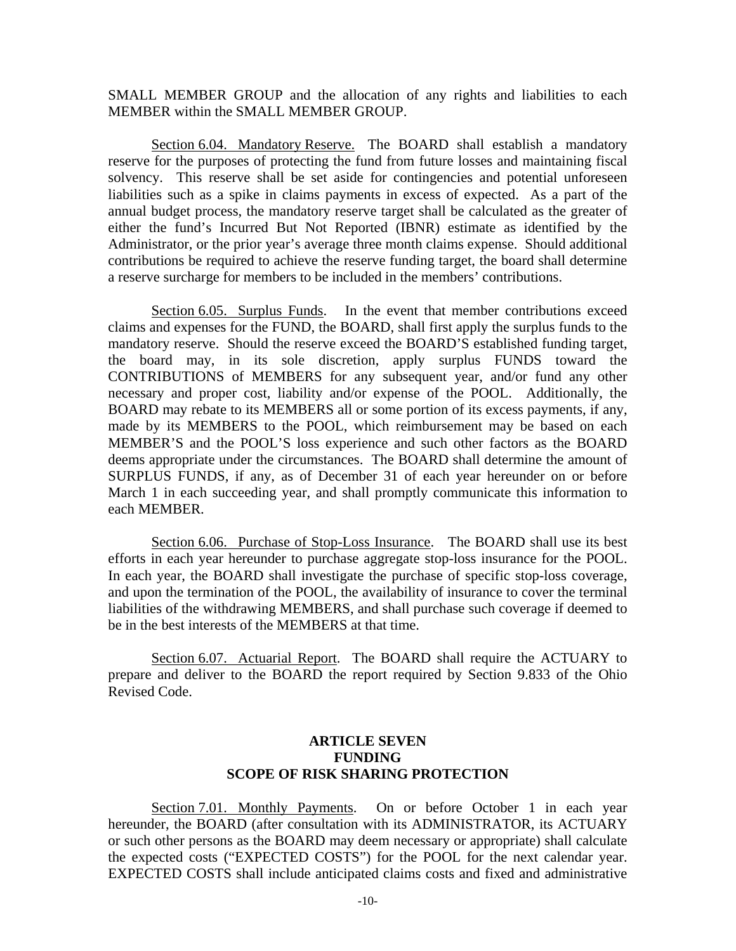SMALL MEMBER GROUP and the allocation of any rights and liabilities to each MEMBER within the SMALL MEMBER GROUP.

Section 6.04. Mandatory Reserve. The BOARD shall establish a mandatory reserve for the purposes of protecting the fund from future losses and maintaining fiscal solvency. This reserve shall be set aside for contingencies and potential unforeseen liabilities such as a spike in claims payments in excess of expected. As a part of the annual budget process, the mandatory reserve target shall be calculated as the greater of either the fund's Incurred But Not Reported (IBNR) estimate as identified by the Administrator, or the prior year's average three month claims expense. Should additional contributions be required to achieve the reserve funding target, the board shall determine a reserve surcharge for members to be included in the members' contributions.

Section 6.05. Surplus Funds. In the event that member contributions exceed claims and expenses for the FUND, the BOARD, shall first apply the surplus funds to the mandatory reserve. Should the reserve exceed the BOARD'S established funding target, the board may, in its sole discretion, apply surplus FUNDS toward the CONTRIBUTIONS of MEMBERS for any subsequent year, and/or fund any other necessary and proper cost, liability and/or expense of the POOL. Additionally, the BOARD may rebate to its MEMBERS all or some portion of its excess payments, if any, made by its MEMBERS to the POOL, which reimbursement may be based on each MEMBER'S and the POOL'S loss experience and such other factors as the BOARD deems appropriate under the circumstances. The BOARD shall determine the amount of SURPLUS FUNDS, if any, as of December 31 of each year hereunder on or before March 1 in each succeeding year, and shall promptly communicate this information to each MEMBER.

Section 6.06. Purchase of Stop-Loss Insurance. The BOARD shall use its best efforts in each year hereunder to purchase aggregate stop-loss insurance for the POOL. In each year, the BOARD shall investigate the purchase of specific stop-loss coverage, and upon the termination of the POOL, the availability of insurance to cover the terminal liabilities of the withdrawing MEMBERS, and shall purchase such coverage if deemed to be in the best interests of the MEMBERS at that time.

 Section 6.07. Actuarial Report. The BOARD shall require the ACTUARY to prepare and deliver to the BOARD the report required by Section 9.833 of the Ohio Revised Code.

## **ARTICLE SEVEN FUNDING SCOPE OF RISK SHARING PROTECTION**

 Section 7.01. Monthly Payments. On or before October 1 in each year hereunder, the BOARD (after consultation with its ADMINISTRATOR, its ACTUARY or such other persons as the BOARD may deem necessary or appropriate) shall calculate the expected costs ("EXPECTED COSTS") for the POOL for the next calendar year. EXPECTED COSTS shall include anticipated claims costs and fixed and administrative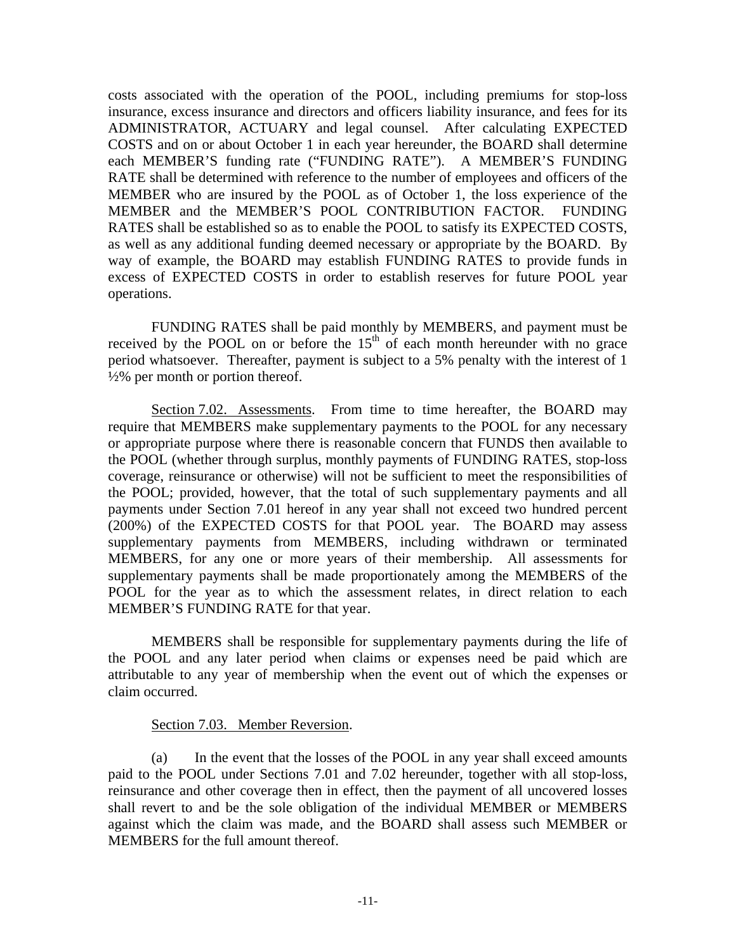costs associated with the operation of the POOL, including premiums for stop-loss insurance, excess insurance and directors and officers liability insurance, and fees for its ADMINISTRATOR, ACTUARY and legal counsel. After calculating EXPECTED COSTS and on or about October 1 in each year hereunder, the BOARD shall determine each MEMBER'S funding rate ("FUNDING RATE"). A MEMBER'S FUNDING RATE shall be determined with reference to the number of employees and officers of the MEMBER who are insured by the POOL as of October 1, the loss experience of the MEMBER and the MEMBER'S POOL CONTRIBUTION FACTOR. FUNDING RATES shall be established so as to enable the POOL to satisfy its EXPECTED COSTS, as well as any additional funding deemed necessary or appropriate by the BOARD. By way of example, the BOARD may establish FUNDING RATES to provide funds in excess of EXPECTED COSTS in order to establish reserves for future POOL year operations.

 FUNDING RATES shall be paid monthly by MEMBERS, and payment must be received by the POOL on or before the  $15<sup>th</sup>$  of each month hereunder with no grace period whatsoever. Thereafter, payment is subject to a 5% penalty with the interest of 1  $\frac{1}{2}\%$  per month or portion thereof.

Section 7.02. Assessments. From time to time hereafter, the BOARD may require that MEMBERS make supplementary payments to the POOL for any necessary or appropriate purpose where there is reasonable concern that FUNDS then available to the POOL (whether through surplus, monthly payments of FUNDING RATES, stop-loss coverage, reinsurance or otherwise) will not be sufficient to meet the responsibilities of the POOL; provided, however, that the total of such supplementary payments and all payments under Section 7.01 hereof in any year shall not exceed two hundred percent (200%) of the EXPECTED COSTS for that POOL year. The BOARD may assess supplementary payments from MEMBERS, including withdrawn or terminated MEMBERS, for any one or more years of their membership. All assessments for supplementary payments shall be made proportionately among the MEMBERS of the POOL for the year as to which the assessment relates, in direct relation to each MEMBER'S FUNDING RATE for that year.

 MEMBERS shall be responsible for supplementary payments during the life of the POOL and any later period when claims or expenses need be paid which are attributable to any year of membership when the event out of which the expenses or claim occurred.

## Section 7.03. Member Reversion.

(a) In the event that the losses of the POOL in any year shall exceed amounts paid to the POOL under Sections 7.01 and 7.02 hereunder, together with all stop-loss, reinsurance and other coverage then in effect, then the payment of all uncovered losses shall revert to and be the sole obligation of the individual MEMBER or MEMBERS against which the claim was made, and the BOARD shall assess such MEMBER or MEMBERS for the full amount thereof.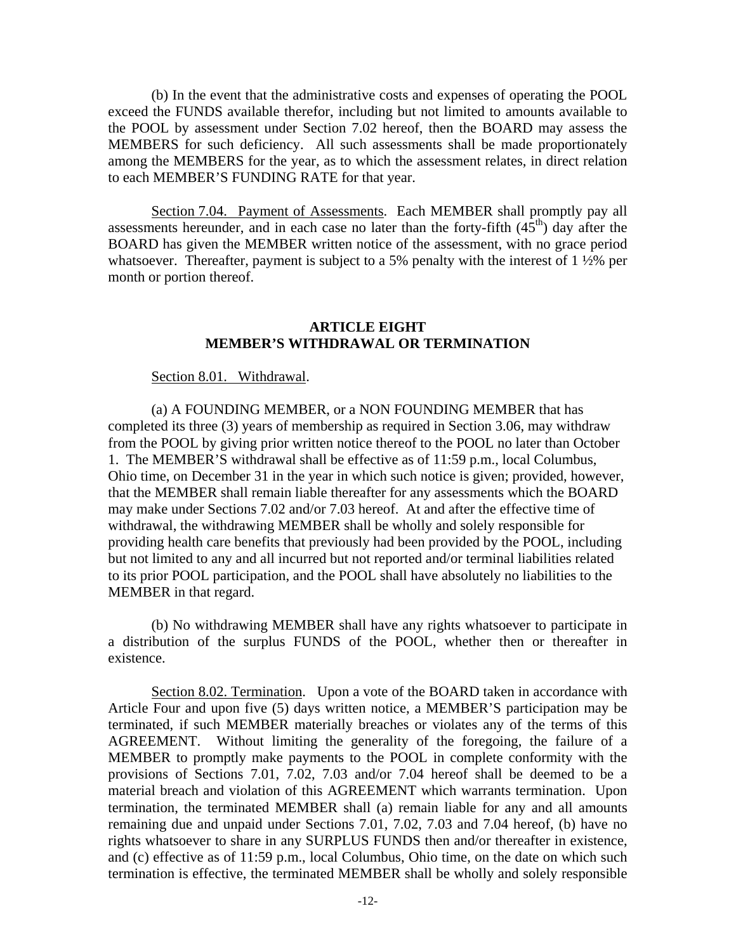(b) In the event that the administrative costs and expenses of operating the POOL exceed the FUNDS available therefor, including but not limited to amounts available to the POOL by assessment under Section 7.02 hereof, then the BOARD may assess the MEMBERS for such deficiency. All such assessments shall be made proportionately among the MEMBERS for the year, as to which the assessment relates, in direct relation to each MEMBER'S FUNDING RATE for that year.

Section 7.04. Payment of Assessments. Each MEMBER shall promptly pay all assessments hereunder, and in each case no later than the forty-fifth  $(45<sup>th</sup>)$  day after the BOARD has given the MEMBER written notice of the assessment, with no grace period whatsoever. Thereafter, payment is subject to a 5% penalty with the interest of  $1\frac{1}{2}\%$  per month or portion thereof.

### **ARTICLE EIGHT MEMBER'S WITHDRAWAL OR TERMINATION**

#### Section 8.01. Withdrawal.

(a) A FOUNDING MEMBER, or a NON FOUNDING MEMBER that has completed its three (3) years of membership as required in Section 3.06, may withdraw from the POOL by giving prior written notice thereof to the POOL no later than October 1. The MEMBER'S withdrawal shall be effective as of 11:59 p.m., local Columbus, Ohio time, on December 31 in the year in which such notice is given; provided, however, that the MEMBER shall remain liable thereafter for any assessments which the BOARD may make under Sections 7.02 and/or 7.03 hereof. At and after the effective time of withdrawal, the withdrawing MEMBER shall be wholly and solely responsible for providing health care benefits that previously had been provided by the POOL, including but not limited to any and all incurred but not reported and/or terminal liabilities related to its prior POOL participation, and the POOL shall have absolutely no liabilities to the MEMBER in that regard.

(b) No withdrawing MEMBER shall have any rights whatsoever to participate in a distribution of the surplus FUNDS of the POOL, whether then or thereafter in existence.

Section 8.02. Termination. Upon a vote of the BOARD taken in accordance with Article Four and upon five (5) days written notice, a MEMBER'S participation may be terminated, if such MEMBER materially breaches or violates any of the terms of this AGREEMENT. Without limiting the generality of the foregoing, the failure of a MEMBER to promptly make payments to the POOL in complete conformity with the provisions of Sections 7.01, 7.02, 7.03 and/or 7.04 hereof shall be deemed to be a material breach and violation of this AGREEMENT which warrants termination. Upon termination, the terminated MEMBER shall (a) remain liable for any and all amounts remaining due and unpaid under Sections 7.01, 7.02, 7.03 and 7.04 hereof, (b) have no rights whatsoever to share in any SURPLUS FUNDS then and/or thereafter in existence, and (c) effective as of 11:59 p.m., local Columbus, Ohio time, on the date on which such termination is effective, the terminated MEMBER shall be wholly and solely responsible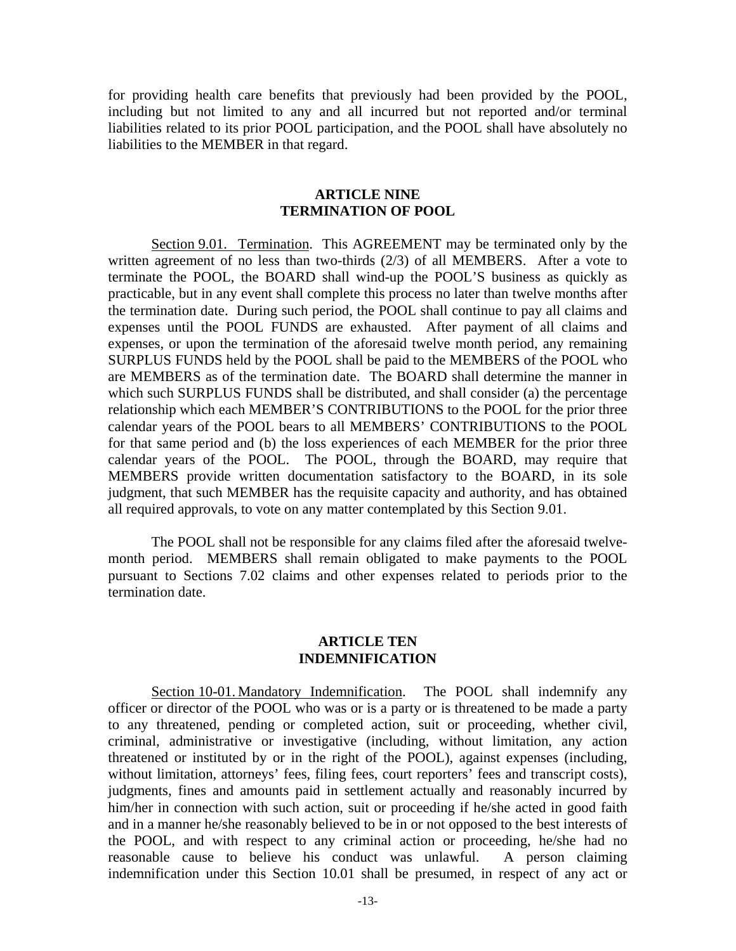for providing health care benefits that previously had been provided by the POOL, including but not limited to any and all incurred but not reported and/or terminal liabilities related to its prior POOL participation, and the POOL shall have absolutely no liabilities to the MEMBER in that regard.

### **ARTICLE NINE TERMINATION OF POOL**

 Section 9.01. Termination. This AGREEMENT may be terminated only by the written agreement of no less than two-thirds (2/3) of all MEMBERS. After a vote to terminate the POOL, the BOARD shall wind-up the POOL'S business as quickly as practicable, but in any event shall complete this process no later than twelve months after the termination date. During such period, the POOL shall continue to pay all claims and expenses until the POOL FUNDS are exhausted. After payment of all claims and expenses, or upon the termination of the aforesaid twelve month period, any remaining SURPLUS FUNDS held by the POOL shall be paid to the MEMBERS of the POOL who are MEMBERS as of the termination date. The BOARD shall determine the manner in which such SURPLUS FUNDS shall be distributed, and shall consider (a) the percentage relationship which each MEMBER'S CONTRIBUTIONS to the POOL for the prior three calendar years of the POOL bears to all MEMBERS' CONTRIBUTIONS to the POOL for that same period and (b) the loss experiences of each MEMBER for the prior three calendar years of the POOL. The POOL, through the BOARD, may require that MEMBERS provide written documentation satisfactory to the BOARD, in its sole judgment, that such MEMBER has the requisite capacity and authority, and has obtained all required approvals, to vote on any matter contemplated by this Section 9.01.

 The POOL shall not be responsible for any claims filed after the aforesaid twelvemonth period. MEMBERS shall remain obligated to make payments to the POOL pursuant to Sections 7.02 claims and other expenses related to periods prior to the termination date.

### **ARTICLE TEN INDEMNIFICATION**

Section 10-01. Mandatory Indemnification. The POOL shall indemnify any officer or director of the POOL who was or is a party or is threatened to be made a party to any threatened, pending or completed action, suit or proceeding, whether civil, criminal, administrative or investigative (including, without limitation, any action threatened or instituted by or in the right of the POOL), against expenses (including, without limitation, attorneys' fees, filing fees, court reporters' fees and transcript costs), judgments, fines and amounts paid in settlement actually and reasonably incurred by him/her in connection with such action, suit or proceeding if he/she acted in good faith and in a manner he/she reasonably believed to be in or not opposed to the best interests of the POOL, and with respect to any criminal action or proceeding, he/she had no reasonable cause to believe his conduct was unlawful. A person claiming indemnification under this Section 10.01 shall be presumed, in respect of any act or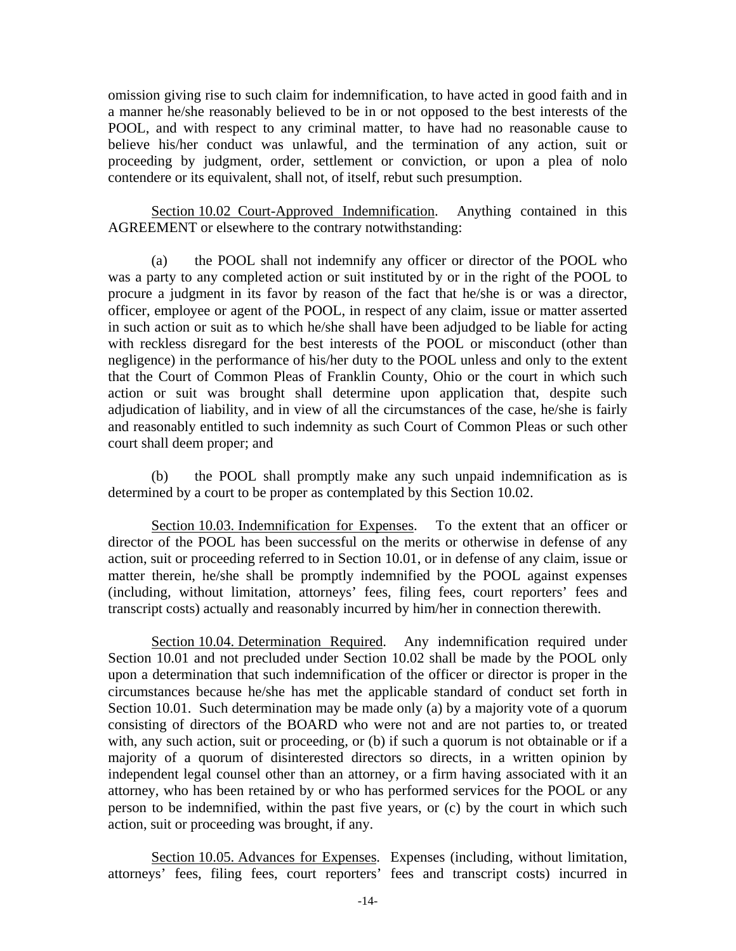omission giving rise to such claim for indemnification, to have acted in good faith and in a manner he/she reasonably believed to be in or not opposed to the best interests of the POOL, and with respect to any criminal matter, to have had no reasonable cause to believe his/her conduct was unlawful, and the termination of any action, suit or proceeding by judgment, order, settlement or conviction, or upon a plea of nolo contendere or its equivalent, shall not, of itself, rebut such presumption.

 Section 10.02 Court-Approved Indemnification. Anything contained in this AGREEMENT or elsewhere to the contrary notwithstanding:

 (a) the POOL shall not indemnify any officer or director of the POOL who was a party to any completed action or suit instituted by or in the right of the POOL to procure a judgment in its favor by reason of the fact that he/she is or was a director, officer, employee or agent of the POOL, in respect of any claim, issue or matter asserted in such action or suit as to which he/she shall have been adjudged to be liable for acting with reckless disregard for the best interests of the POOL or misconduct (other than negligence) in the performance of his/her duty to the POOL unless and only to the extent that the Court of Common Pleas of Franklin County, Ohio or the court in which such action or suit was brought shall determine upon application that, despite such adjudication of liability, and in view of all the circumstances of the case, he/she is fairly and reasonably entitled to such indemnity as such Court of Common Pleas or such other court shall deem proper; and

 (b) the POOL shall promptly make any such unpaid indemnification as is determined by a court to be proper as contemplated by this Section 10.02.

 Section 10.03. Indemnification for Expenses. To the extent that an officer or director of the POOL has been successful on the merits or otherwise in defense of any action, suit or proceeding referred to in Section 10.01, or in defense of any claim, issue or matter therein, he/she shall be promptly indemnified by the POOL against expenses (including, without limitation, attorneys' fees, filing fees, court reporters' fees and transcript costs) actually and reasonably incurred by him/her in connection therewith.

 Section 10.04. Determination Required. Any indemnification required under Section 10.01 and not precluded under Section 10.02 shall be made by the POOL only upon a determination that such indemnification of the officer or director is proper in the circumstances because he/she has met the applicable standard of conduct set forth in Section 10.01. Such determination may be made only (a) by a majority vote of a quorum consisting of directors of the BOARD who were not and are not parties to, or treated with, any such action, suit or proceeding, or (b) if such a quorum is not obtainable or if a majority of a quorum of disinterested directors so directs, in a written opinion by independent legal counsel other than an attorney, or a firm having associated with it an attorney, who has been retained by or who has performed services for the POOL or any person to be indemnified, within the past five years, or (c) by the court in which such action, suit or proceeding was brought, if any.

Section 10.05. Advances for Expenses. Expenses (including, without limitation, attorneys' fees, filing fees, court reporters' fees and transcript costs) incurred in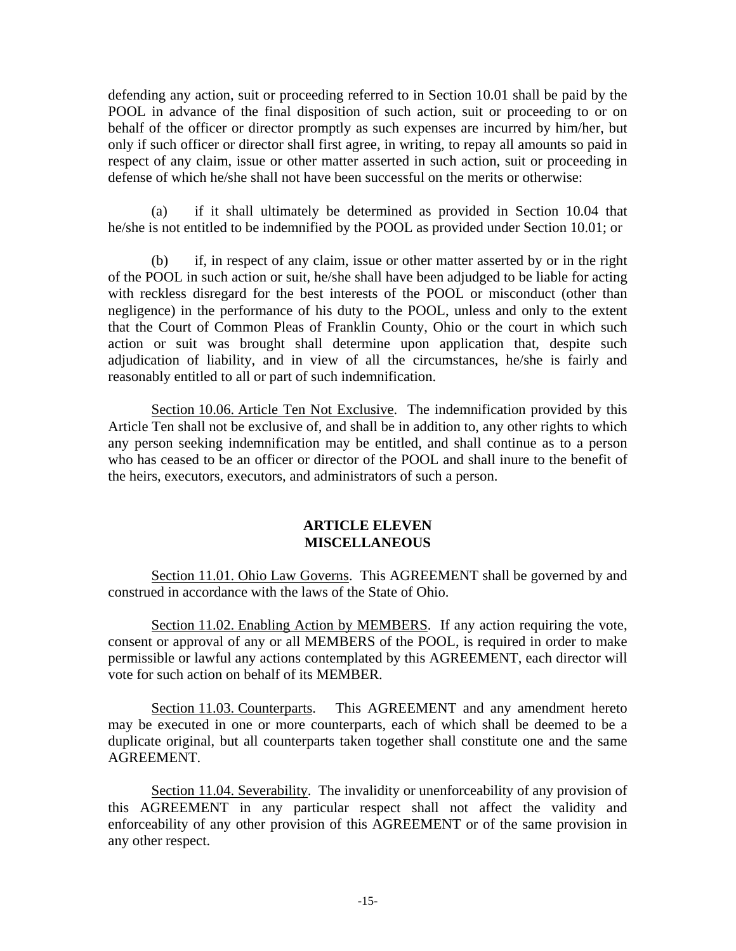defending any action, suit or proceeding referred to in Section 10.01 shall be paid by the POOL in advance of the final disposition of such action, suit or proceeding to or on behalf of the officer or director promptly as such expenses are incurred by him/her, but only if such officer or director shall first agree, in writing, to repay all amounts so paid in respect of any claim, issue or other matter asserted in such action, suit or proceeding in defense of which he/she shall not have been successful on the merits or otherwise:

(a) if it shall ultimately be determined as provided in Section 10.04 that he/she is not entitled to be indemnified by the POOL as provided under Section 10.01; or

(b) if, in respect of any claim, issue or other matter asserted by or in the right of the POOL in such action or suit, he/she shall have been adjudged to be liable for acting with reckless disregard for the best interests of the POOL or misconduct (other than negligence) in the performance of his duty to the POOL, unless and only to the extent that the Court of Common Pleas of Franklin County, Ohio or the court in which such action or suit was brought shall determine upon application that, despite such adjudication of liability, and in view of all the circumstances, he/she is fairly and reasonably entitled to all or part of such indemnification.

 Section 10.06. Article Ten Not Exclusive. The indemnification provided by this Article Ten shall not be exclusive of, and shall be in addition to, any other rights to which any person seeking indemnification may be entitled, and shall continue as to a person who has ceased to be an officer or director of the POOL and shall inure to the benefit of the heirs, executors, executors, and administrators of such a person.

### **ARTICLE ELEVEN MISCELLANEOUS**

 Section 11.01. Ohio Law Governs. This AGREEMENT shall be governed by and construed in accordance with the laws of the State of Ohio.

Section 11.02. Enabling Action by MEMBERS. If any action requiring the vote, consent or approval of any or all MEMBERS of the POOL, is required in order to make permissible or lawful any actions contemplated by this AGREEMENT, each director will vote for such action on behalf of its MEMBER.

Section 11.03. Counterparts. This AGREEMENT and any amendment hereto may be executed in one or more counterparts, each of which shall be deemed to be a duplicate original, but all counterparts taken together shall constitute one and the same AGREEMENT.

 Section 11.04. Severability. The invalidity or unenforceability of any provision of this AGREEMENT in any particular respect shall not affect the validity and enforceability of any other provision of this AGREEMENT or of the same provision in any other respect.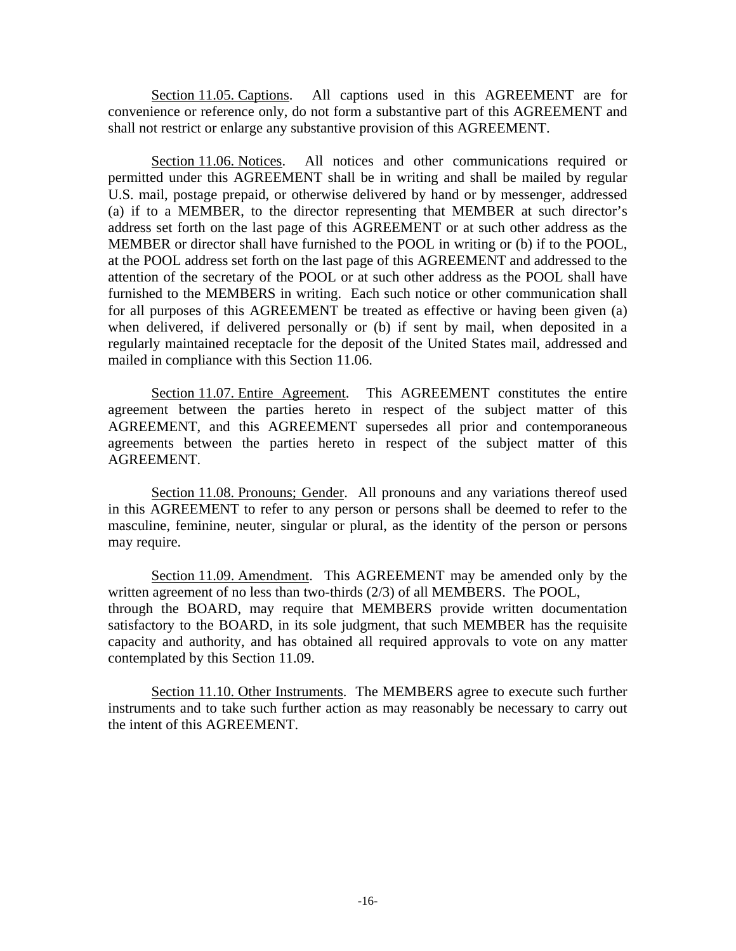Section 11.05. Captions. All captions used in this AGREEMENT are for convenience or reference only, do not form a substantive part of this AGREEMENT and shall not restrict or enlarge any substantive provision of this AGREEMENT.

 Section 11.06. Notices. All notices and other communications required or permitted under this AGREEMENT shall be in writing and shall be mailed by regular U.S. mail, postage prepaid, or otherwise delivered by hand or by messenger, addressed (a) if to a MEMBER, to the director representing that MEMBER at such director's address set forth on the last page of this AGREEMENT or at such other address as the MEMBER or director shall have furnished to the POOL in writing or (b) if to the POOL, at the POOL address set forth on the last page of this AGREEMENT and addressed to the attention of the secretary of the POOL or at such other address as the POOL shall have furnished to the MEMBERS in writing. Each such notice or other communication shall for all purposes of this AGREEMENT be treated as effective or having been given (a) when delivered, if delivered personally or (b) if sent by mail, when deposited in a regularly maintained receptacle for the deposit of the United States mail, addressed and mailed in compliance with this Section 11.06.

 Section 11.07. Entire Agreement. This AGREEMENT constitutes the entire agreement between the parties hereto in respect of the subject matter of this AGREEMENT, and this AGREEMENT supersedes all prior and contemporaneous agreements between the parties hereto in respect of the subject matter of this AGREEMENT.

 Section 11.08. Pronouns; Gender. All pronouns and any variations thereof used in this AGREEMENT to refer to any person or persons shall be deemed to refer to the masculine, feminine, neuter, singular or plural, as the identity of the person or persons may require.

 Section 11.09. Amendment. This AGREEMENT may be amended only by the written agreement of no less than two-thirds (2/3) of all MEMBERS. The POOL, through the BOARD, may require that MEMBERS provide written documentation satisfactory to the BOARD, in its sole judgment, that such MEMBER has the requisite capacity and authority, and has obtained all required approvals to vote on any matter contemplated by this Section 11.09.

Section 11.10. Other Instruments. The MEMBERS agree to execute such further instruments and to take such further action as may reasonably be necessary to carry out the intent of this AGREEMENT.